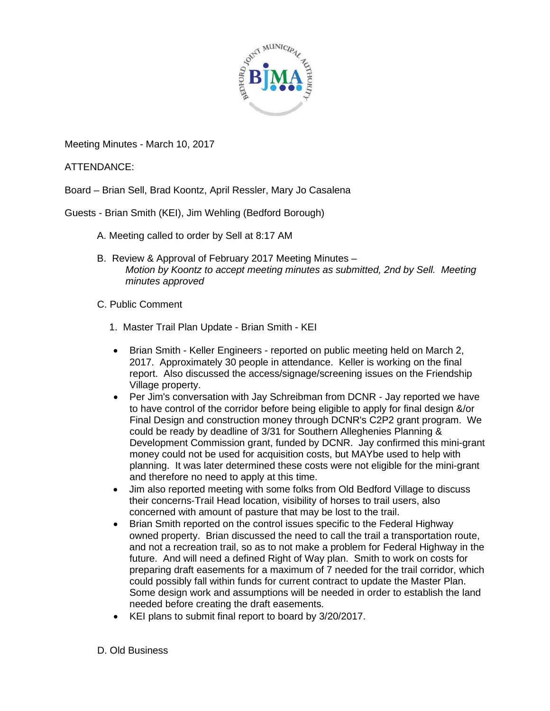

Meeting Minutes - March 10, 2017

ATTENDANCE:

Board – Brian Sell, Brad Koontz, April Ressler, Mary Jo Casalena

Guests - Brian Smith (KEI), Jim Wehling (Bedford Borough)

- A. Meeting called to order by Sell at 8:17 AM
- B. Review & Approval of February 2017 Meeting Minutes *Motion by Koontz to accept meeting minutes as submitted, 2nd by Sell. Meeting minutes approved*
- C. Public Comment
	- 1. Master Trail Plan Update Brian Smith KEI
	- Brian Smith Keller Engineers reported on public meeting held on March 2, 2017. Approximately 30 people in attendance. Keller is working on the final report. Also discussed the access/signage/screening issues on the Friendship Village property.
	- Per Jim's conversation with Jay Schreibman from DCNR Jay reported we have to have control of the corridor before being eligible to apply for final design &/or Final Design and construction money through DCNR's C2P2 grant program. We could be ready by deadline of 3/31 for Southern Alleghenies Planning & Development Commission grant, funded by DCNR. Jay confirmed this mini-grant money could not be used for acquisition costs, but MAYbe used to help with planning. It was later determined these costs were not eligible for the mini-grant and therefore no need to apply at this time.
	- Jim also reported meeting with some folks from Old Bedford Village to discuss their concerns-Trail Head location, visibility of horses to trail users, also concerned with amount of pasture that may be lost to the trail.
	- Brian Smith reported on the control issues specific to the Federal Highway owned property. Brian discussed the need to call the trail a transportation route, and not a recreation trail, so as to not make a problem for Federal Highway in the future. And will need a defined Right of Way plan. Smith to work on costs for preparing draft easements for a maximum of 7 needed for the trail corridor, which could possibly fall within funds for current contract to update the Master Plan. Some design work and assumptions will be needed in order to establish the land needed before creating the draft easements.
	- KEI plans to submit final report to board by 3/20/2017.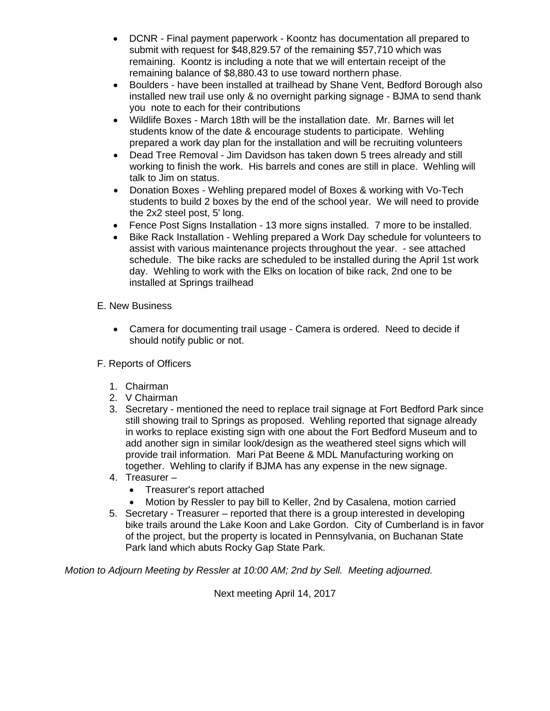- DCNR Final payment paperwork Koontz has documentation all prepared to submit with request for \$48,829.57 of the remaining \$57,710 which was remaining. Koontz is including a note that we will entertain receipt of the remaining balance of \$8,880.43 to use toward northern phase.
- Boulders have been installed at trailhead by Shane Vent, Bedford Borough also installed new trail use only & no overnight parking signage - BJMA to send thank you note to each for their contributions
- Wildlife Boxes March 18th will be the installation date. Mr. Barnes will let students know of the date & encourage students to participate. Wehling prepared a work day plan for the installation and will be recruiting volunteers
- Dead Tree Removal Jim Davidson has taken down 5 trees already and still working to finish the work. His barrels and cones are still in place. Wehling will talk to Jim on status.
- Donation Boxes Wehling prepared model of Boxes & working with Vo-Tech students to build 2 boxes by the end of the school year. We will need to provide the 2x2 steel post, 5' long.
- Fence Post Signs Installation 13 more signs installed. 7 more to be installed.
- Bike Rack Installation Wehling prepared a Work Day schedule for volunteers to assist with various maintenance projects throughout the year. - see attached schedule. The bike racks are scheduled to be installed during the April 1st work day. Wehling to work with the Elks on location of bike rack, 2nd one to be installed at Springs trailhead
- E. New Business
	- Camera for documenting trail usage Camera is ordered. Need to decide if should notify public or not.
- F. Reports of Officers
	- 1. Chairman
	- 2. V Chairman
	- 3. Secretary mentioned the need to replace trail signage at Fort Bedford Park since still showing trail to Springs as proposed. Wehling reported that signage already in works to replace existing sign with one about the Fort Bedford Museum and to add another sign in similar look/design as the weathered steel signs which will provide trail information. Mari Pat Beene & MDL Manufacturing working on together. Wehling to clarify if BJMA has any expense in the new signage.
	- 4. Treasurer
		- Treasurer's report attached
		- Motion by Ressler to pay bill to Keller, 2nd by Casalena, motion carried
	- 5. Secretary Treasurer reported that there is a group interested in developing bike trails around the Lake Koon and Lake Gordon. City of Cumberland is in favor of the project, but the property is located in Pennsylvania, on Buchanan State Park land which abuts Rocky Gap State Park.

*Motion to Adjourn Meeting by Ressler at 10:00 AM; 2nd by Sell. Meeting adjourned.*

Next meeting April 14, 2017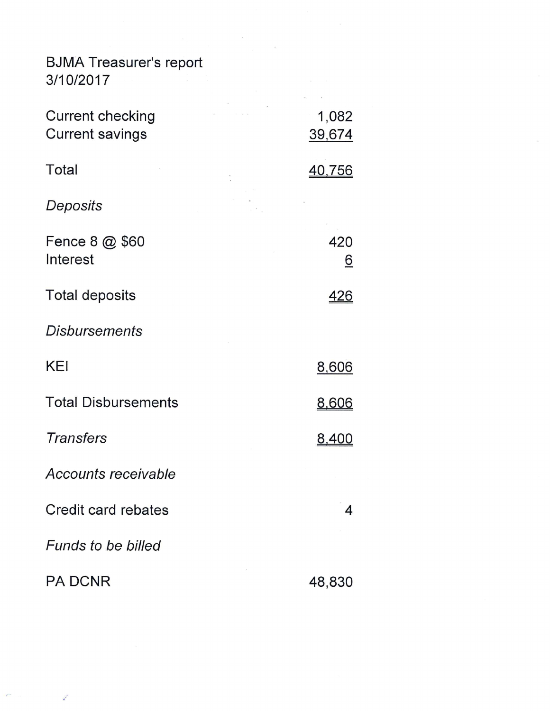| <b>BJMA Treasurer's report</b><br>3/10/2017       |                 |  |
|---------------------------------------------------|-----------------|--|
| <b>Current checking</b><br><b>Current savings</b> | 1,082<br>39,674 |  |
| <b>Total</b>                                      | <u>40,756</u>   |  |
| Deposits                                          |                 |  |
| Fence 8 @ \$60<br>Interest                        | 420<br>6        |  |
| <b>Total deposits</b>                             | <u>426</u>      |  |
| <b>Disbursements</b>                              |                 |  |
| <b>KEI</b>                                        | 8,606           |  |
| <b>Total Disbursements</b>                        | 8.bl            |  |
| <b>Transfers</b>                                  |                 |  |
| <b>Accounts receivable</b>                        |                 |  |
| Credit card rebates                               | 4               |  |
| <b>Funds to be billed</b>                         |                 |  |
| <b>PA DCNR</b>                                    | 48,830          |  |

 $\mathbf{r}^{(1)}$ 

 $\sim$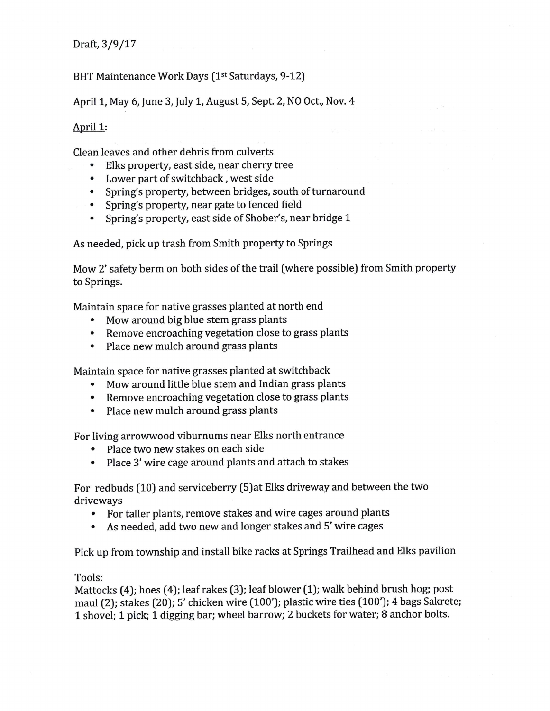Draft, 3/9/17

BHT Maintenance Work Days (1st Saturdays, 9-12)

April 1, May 6, June 3, July 1, August 5, Sept. 2, NO Oct., Nov. 4

# April 1:

Clean leaves and other debris from culverts

- $\bullet$ Elks property, east side, near cherry tree
- Lower part of switchback, west side  $\bullet$
- Spring's property, between bridges, south of turnaround
- Spring's property, near gate to fenced field
- Spring's property, east side of Shober's, near bridge 1

As needed, pick up trash from Smith property to Springs

Mow 2' safety berm on both sides of the trail (where possible) from Smith property to Springs.

Maintain space for native grasses planted at north end

- Mow around big blue stem grass plants  $\bullet$
- Remove encroaching vegetation close to grass plants
- Place new mulch around grass plants  $\bullet$

Maintain space for native grasses planted at switchback

- Mow around little blue stem and Indian grass plants
- Remove encroaching vegetation close to grass plants
- Place new mulch around grass plants  $\bullet$

For living arrowwood viburnums near Elks north entrance

- Place two new stakes on each side  $\bullet$
- Place 3' wire cage around plants and attach to stakes

For redbuds (10) and serviceberry (5) at Elks driveway and between the two driveways

- For taller plants, remove stakes and wire cages around plants  $\bullet$
- As needed, add two new and longer stakes and 5' wire cages  $\bullet$

Pick up from township and install bike racks at Springs Trailhead and Elks pavilion

### Tools:

Mattocks (4); hoes (4); leaf rakes (3); leaf blower (1); walk behind brush hog; post maul (2); stakes (20); 5' chicken wire (100'); plastic wire ties (100'); 4 bags Sakrete; 1 shovel; 1 pick; 1 digging bar; wheel barrow; 2 buckets for water; 8 anchor bolts.